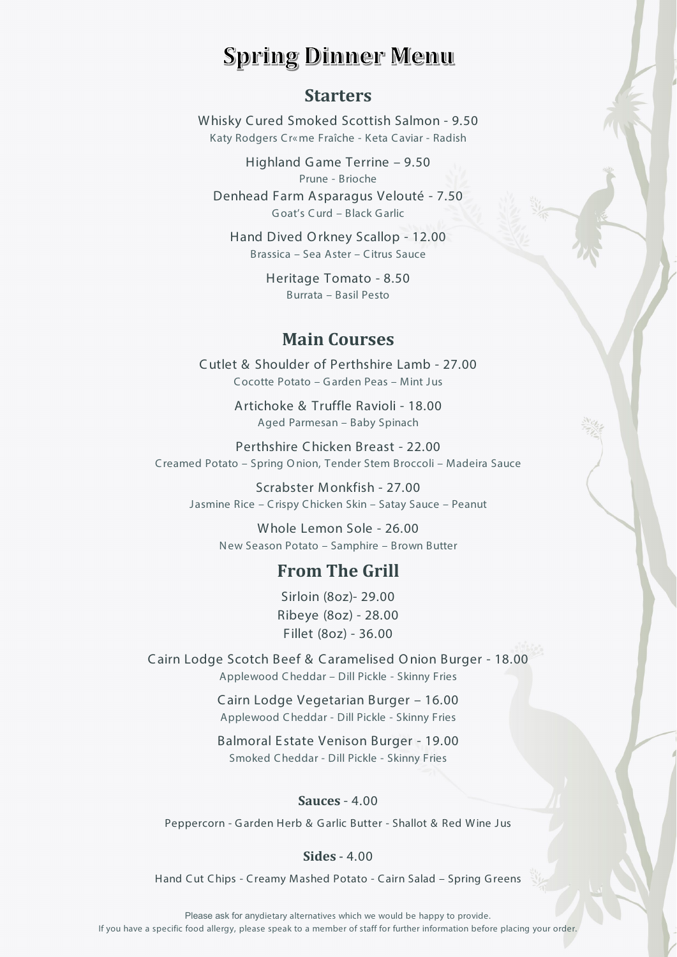# **Spring Dinner Menu**

### **Starters**

Whisky Cured Smoked Scottish Salmon - 9.50 Katy Rodgers Cr«me Fraîche - Keta Caviar - Radish

Highland Game Terrine - 9.50 Prune - Brioche Denhead Farm Asparagus Velouté - 7.50 Goat's Curd - Black Garlic

Hand Dived Orkney Scallop - 12.00 Brassica - Sea Aster - Citrus Sauce

> Heritage Tomato - 8.50 Burrata - Basil Pesto

## **Main Courses**

Cutlet & Shoulder of Perthshire Lamb - 27.00 Cocotte Potato - Garden Peas - Mint Jus

> Artichoke & Truffle Ravioli - 18.00 Aged Parmesan - Baby Spinach

Perthshire Chicken Breast - 22.00 Creamed Potato - Spring Onion, Tender Stem Broccoli - Madeira Sauce

Scrabster Monkfish - 27.00 Jasmine Rice - Crispy Chicken Skin - Satay Sauce - Peanut

Whole Lemon Sole - 26.00 New Season Potato - Samphire - Brown Butter

# **From The Grill**

Sirloin (8oz)- 29.00 Ribeye (8oz) - 28.00 Fillet (8oz) - 36.00

Cairn Lodge Scotch Beef & Caramelised Onion Burger - 18.00 Applewood Cheddar - Dill Pickle - Skinny Fries

> Cairn Lodge Vegetarian Burger - 16.00 Applewood Cheddar - Dill Pickle - Skinny Fries

> Balmoral Estate Venison Burger - 19.00 Smoked Cheddar - Dill Pickle - Skinny Fries

#### **Sauces - 4.00**

Peppercorn - Garden Herb & Garlic Butter - Shallot & Red Wine Jus

#### Sides  $-4.00$

Hand Cut Chips - Creamy Mashed Potato - Cairn Salad - Spring Greens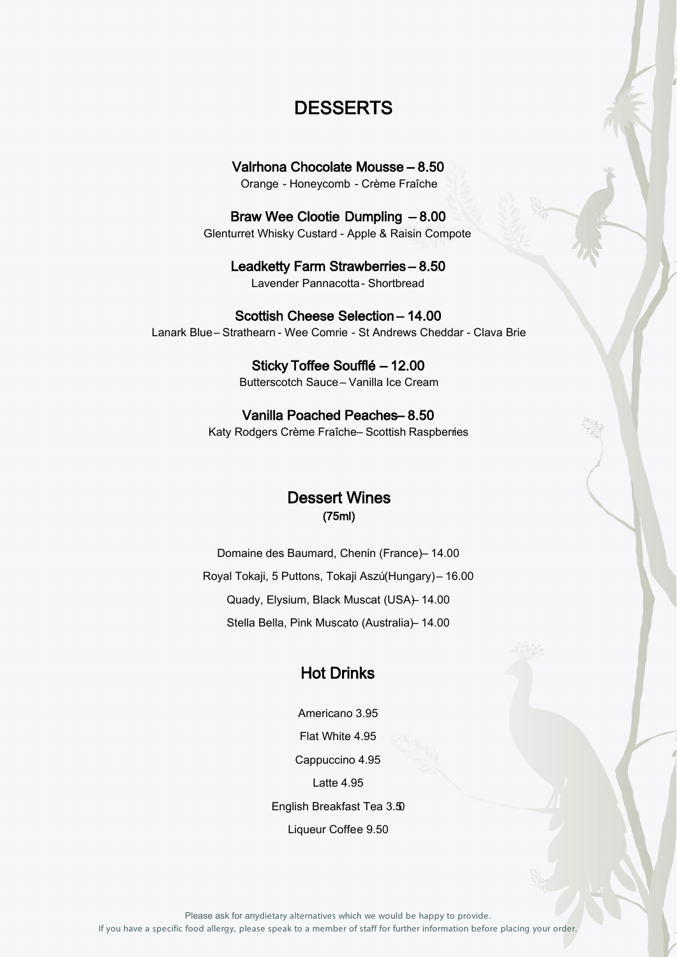# **DESSERTS**

Valrhona Chocolate Mousse – 8.50 Orange - Honeycomb - Crème Fraîche

Braw Wee Clootie Dumpling – 8.00 Glenturret Whisky Custard - Apple & Raisin Compote

> Leadketty Farm Strawberries – 8.50 Lavender Pannacotta- Shortbread

Scottish Cheese Selection – 14.00 Lanark Blue – Strathearn - Wee Comrie - St Andrews Cheddar - Clava Brie

> Sticky Toffee Soufflé – 12.00 Butterscotch Sauce – Vanilla Ice Cream

Vanilla Poached Peaches-8.50 Katy Rodgers Crème Fraîche- Scottish Raspberries

### Dessert Wines (75ml)

Domaine des Baumard, Chenin (France) – 14.00 Royal Tokaji, 5 Puttons, Tokaji Aszú(Hungary) – 16.00 Quady, Elysium, Black Muscat (USA) - 14.00 Stella Bella, Pink Muscato (Australia) – 14.00

### Hot Drinks

Americano 3.95 Flat White 4.95 Cappuccino 4.95 Latte 4.95 English Breakfast Tea 3.50 Liqueur Coffee 9.50

Please ask for any dietary alternatives which we would be happy to provide. If you have a specific food allergy, please speak to a member of staff for further information before placing your order.